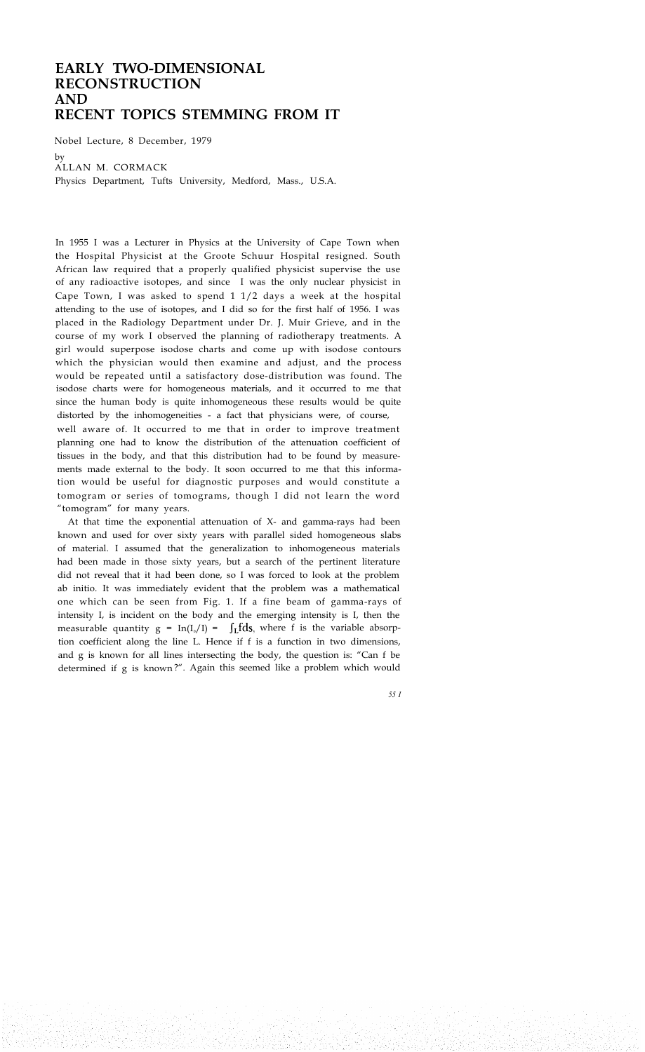## **EARLY TWO-DIMENSIONAL RECONSTRUCTION AND RECENT TOPICS STEMMING FROM IT**

Nobel Lecture, 8 December, 1979

by

ALLAN M. CORMACK

Physics Department, Tufts University, Medford, Mass., U.S.A.

In 1955 I was a Lecturer in Physics at the University of Cape Town when the Hospital Physicist at the Groote Schuur Hospital resigned. South African law required that a properly qualified physicist supervise the use of any radioactive isotopes, and since I was the only nuclear physicist in Cape Town, I was asked to spend 1 1/2 days a week at the hospital attending to the use of isotopes, and I did so for the first half of 1956. I was placed in the Radiology Department under Dr. J. Muir Grieve, and in the course of my work I observed the planning of radiotherapy treatments. A girl would superpose isodose charts and come up with isodose contours which the physician would then examine and adjust, and the process would be repeated until a satisfactory dose-distribution was found. The isodose charts were for homogeneous materials, and it occurred to me that since the human body is quite inhomogeneous these results would be quite distorted by the inhomogeneities - a fact that physicians were, of course, well aware of. It occurred to me that in order to improve treatment planning one had to know the distribution of the attenuation coefficient of tissues in the body, and that this distribution had to be found by measurements made external to the body. It soon occurred to me that this information would be useful for diagnostic purposes and would constitute a tomogram or series of tomograms, though I did not learn the word "tomogram" for many years.

At that time the exponential attenuation of X- and gamma-rays had been known and used for over sixty years with parallel sided homogeneous slabs of material. I assumed that the generalization to inhomogeneous materials had been made in those sixty years, but a search of the pertinent literature did not reveal that it had been done, so I was forced to look at the problem ab initio. It was immediately evident that the problem was a mathematical one which can be seen from Fig. 1. If a fine beam of gamma-rays of intensity I, is incident on the body and the emerging intensity is I, then the measurable quantity  $g = In(I_0/I) = \int_L f ds$ , where f is the variable absorption coefficient along the line L. Hence if f is a function in two dimensions, and g is known for all lines intersecting the body, the question is: "Can f be determined if g is known ?". Again this seemed like a problem which would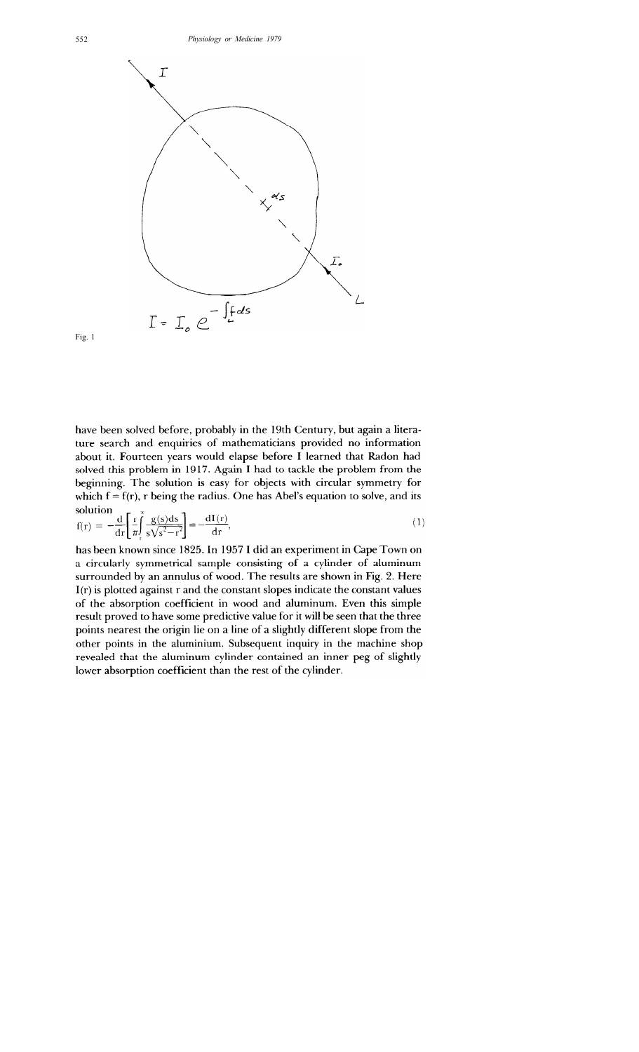



have been solved before, probably in the 19th Century, but again a literature search and enquiries of mathematicians provided no information about it. Fourteen years would elapse before I learned that Radon had solved this problem in 1917. Again I had to tackle the problem from the beginning. The solution is easy for objects with circular symmetry for which  $f = f(r)$ , r being the radius. One has Abel's equation to solve, and its solution

$$
f(r) = -\frac{d}{dr} \left[ \frac{r}{\pi} \int_{r}^{r} \frac{g(s)ds}{s\sqrt{s^2 - r^2}} \right] = -\frac{dI(r)}{dr},\tag{1}
$$

has been known since 1825. In 1957 I did an experiment in Cape Town on a circularly symmetrical sample consisting of a cylinder of aluminum surrounded by an annulus of wood. The results are shown in Fig. 2. Here  $I(r)$  is plotted against  $r$  and the constant slopes indicate the constant values of the absorption coefficient in wood and aluminum. Even this simple result proved to have some predictive value for it will be seen that the three points nearest the origin lie on a line of a slightly different slope from the other points in the aluminium. Subsequent inquiry in the machine shop revealed that the aluminum cylinder contained an inner peg of slightly lower absorption coefficient than the rest of the cylinder.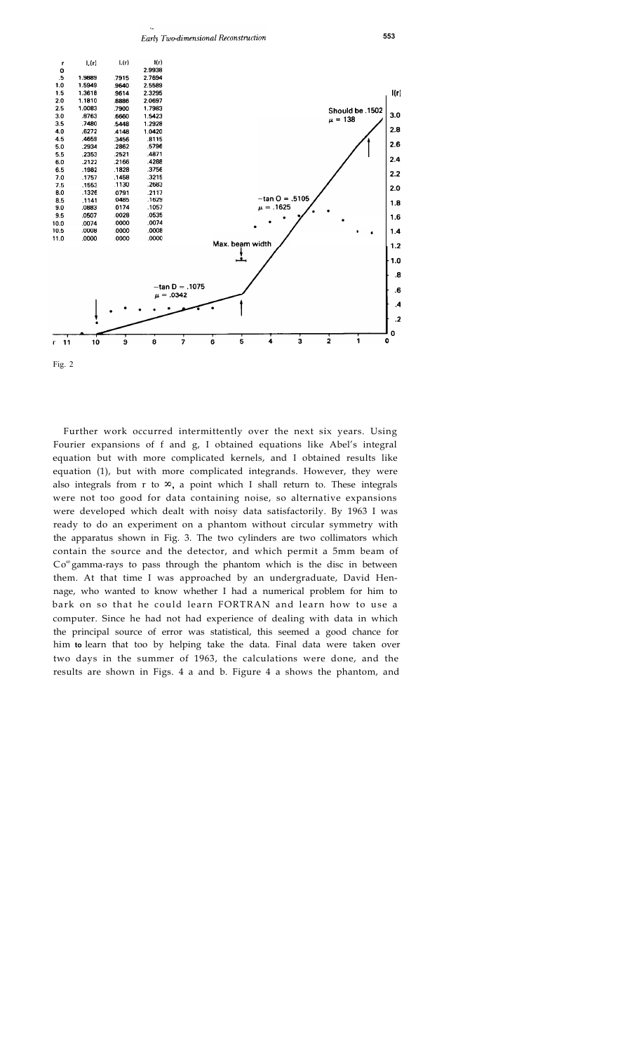

Further work occurred intermittently over the next six years. Using Fourier expansions of f and g, I obtained equations like Abel's integral equation but with more complicated kernels, and I obtained results like equation (1), but with more complicated integrands. However, they were also integrals from r to  $\infty$ , a point which I shall return to. These integrals were not too good for data containing noise, so alternative expansions were developed which dealt with noisy data satisfactorily. By 1963 I was ready to do an experiment on a phantom without circular symmetry with the apparatus shown in Fig. 3. The two cylinders are two collimators which contain the source and the detector, and which permit a 5mm beam of  $Co^{\omega}$  gamma-rays to pass through the phantom which is the disc in between them. At that time I was approached by an undergraduate, David Hennage, who wanted to know whether I had a numerical problem for him to bark on so that he could learn FORTRAN and learn how to use a computer. Since he had not had experience of dealing with data in which the principal source of error was statistical, this seemed a good chance for him **to** learn that too by helping take the data. Final data were taken over two days in the summer of 1963, the calculations were done, and the results are shown in Figs. 4 a and b. Figure 4 a shows the phantom, and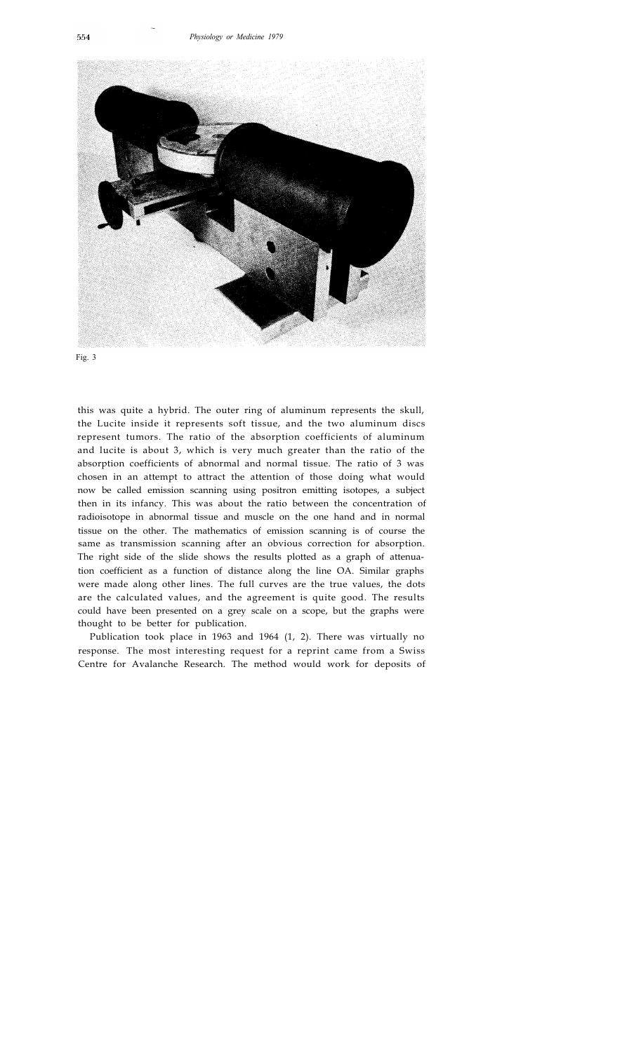

Fig. 3

this was quite a hybrid. The outer ring of aluminum represents the skull, the Lucite inside it represents soft tissue, and the two aluminum discs represent tumors. The ratio of the absorption coefficients of aluminum and lucite is about 3, which is very much greater than the ratio of the absorption coefficients of abnormal and normal tissue. The ratio of 3 was chosen in an attempt to attract the attention of those doing what would now be called emission scanning using positron emitting isotopes, a subject then in its infancy. This was about the ratio between the concentration of radioisotope in abnormal tissue and muscle on the one hand and in normal tissue on the other. The mathematics of emission scanning is of course the same as transmission scanning after an obvious correction for absorption. The right side of the slide shows the results plotted as a graph of attenuation coefficient as a function of distance along the line OA. Similar graphs were made along other lines. The full curves are the true values, the dots are the calculated values, and the agreement is quite good. The results could have been presented on a grey scale on a scope, but the graphs were thought to be better for publication.

Publication took place in 1963 and 1964 (1, 2). There was virtually no response. The most interesting request for a reprint came from a Swiss Centre for Avalanche Research. The method would work for deposits of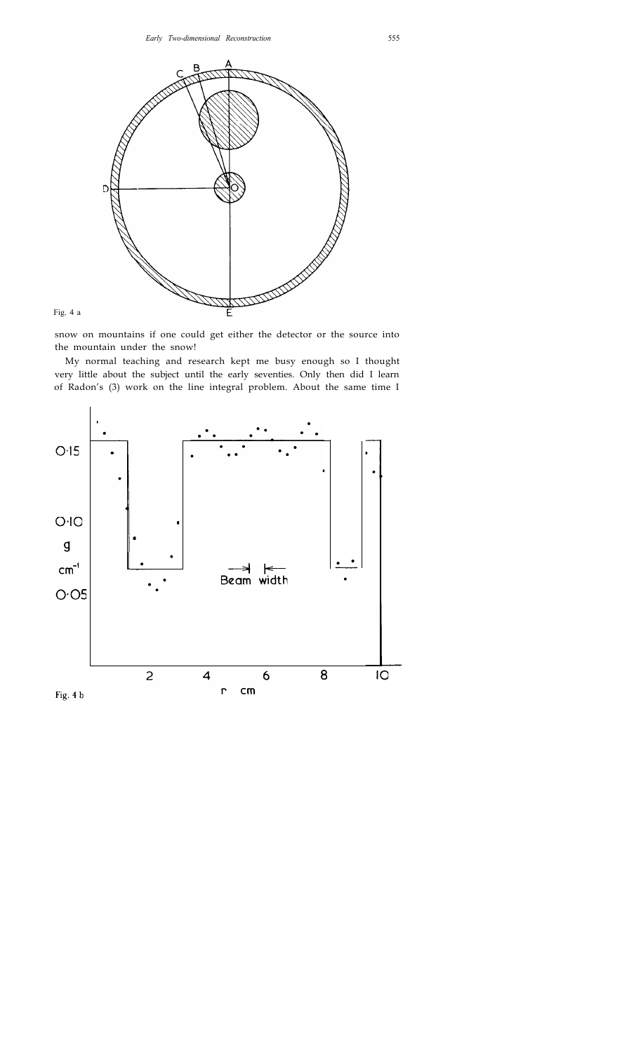



snow on mountains if one could get either the detector or the source into the mountain under the snow!

My normal teaching and research kept me busy enough so I thought very little about the subject until the early seventies. Only then did I learn of Radon's (3) work on the line integral problem. About the same time I

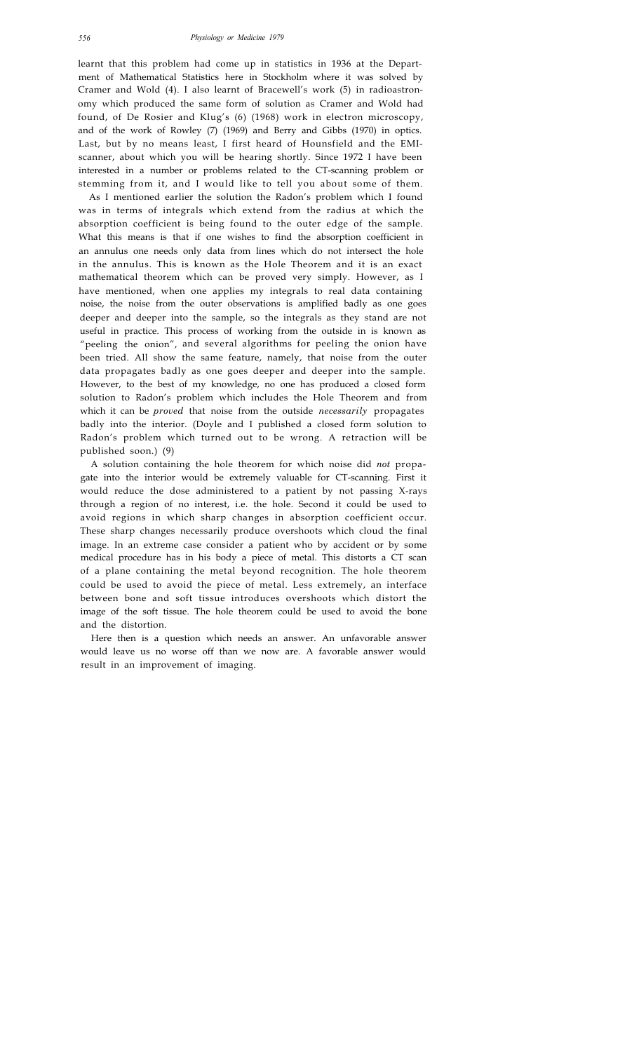learnt that this problem had come up in statistics in 1936 at the Department of Mathematical Statistics here in Stockholm where it was solved by Cramer and Wold (4). I also learnt of Bracewell's work (5) in radioastronomy which produced the same form of solution as Cramer and Wold had found, of De Rosier and Klug's (6) (1968) work in electron microscopy, and of the work of Rowley (7) (1969) and Berry and Gibbs (1970) in optics. Last, but by no means least, I first heard of Hounsfield and the EMIscanner, about which you will be hearing shortly. Since 1972 I have been interested in a number or problems related to the CT-scanning problem or stemming from it, and I would like to tell you about some of them.

As I mentioned earlier the solution the Radon's problem which I found was in terms of integrals which extend from the radius at which the absorption coefficient is being found to the outer edge of the sample. What this means is that if one wishes to find the absorption coefficient in an annulus one needs only data from lines which do not intersect the hole in the annulus. This is known as the Hole Theorem and it is an exact mathematical theorem which can be proved very simply. However, as I have mentioned, when one applies my integrals to real data containing noise, the noise from the outer observations is amplified badly as one goes deeper and deeper into the sample, so the integrals as they stand are not useful in practice. This process of working from the outside in is known as "peeling the onion", and several algorithms for peeling the onion have been tried. All show the same feature, namely, that noise from the outer data propagates badly as one goes deeper and deeper into the sample. However, to the best of my knowledge, no one has produced a closed form solution to Radon's problem which includes the Hole Theorem and from which it can be *proved* that noise from the outside *necessarily* propagates badly into the interior. (Doyle and I published a closed form solution to Radon's problem which turned out to be wrong. A retraction will be published soon.) (9)

A solution containing the hole theorem for which noise did *not* propagate into the interior would be extremely valuable for CT-scanning. First it would reduce the dose administered to a patient by not passing X-rays through a region of no interest, i.e. the hole. Second it could be used to avoid regions in which sharp changes in absorption coefficient occur. These sharp changes necessarily produce overshoots which cloud the final image. In an extreme case consider a patient who by accident or by some medical procedure has in his body a piece of metal. This distorts a CT scan of a plane containing the metal beyond recognition. The hole theorem could be used to avoid the piece of metal. Less extremely, an interface between bone and soft tissue introduces overshoots which distort the image of the soft tissue. The hole theorem could be used to avoid the bone and the distortion.

Here then is a question which needs an answer. An unfavorable answer would leave us no worse off than we now are. A favorable answer would result in an improvement of imaging.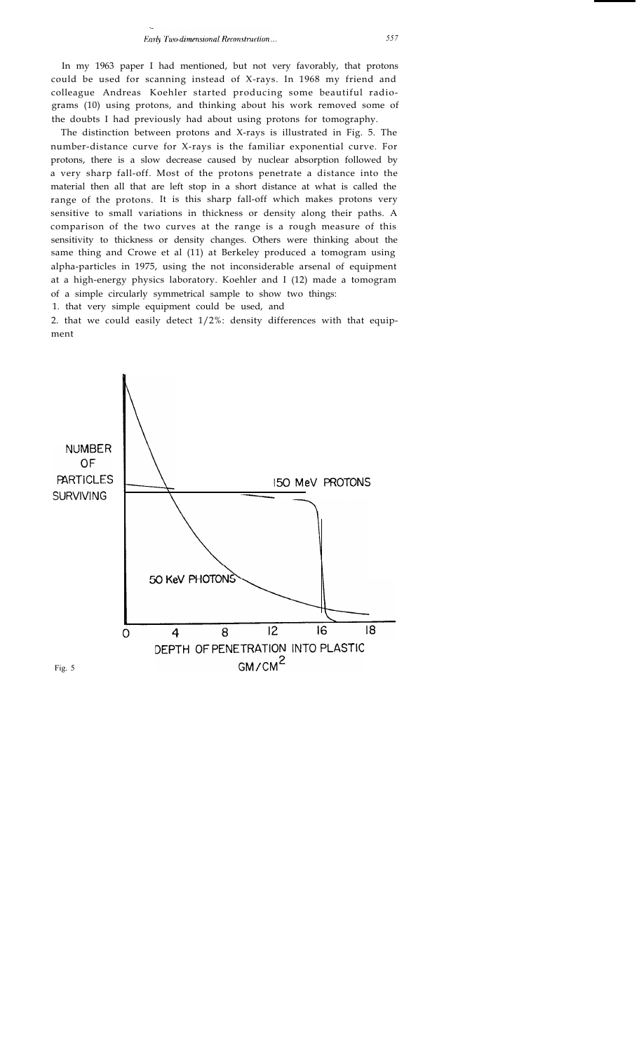In my 1963 paper I had mentioned, but not very favorably, that protons could be used for scanning instead of X-rays. In 1968 my friend and colleague Andreas Koehler started producing some beautiful radiograms (10) using protons, and thinking about his work removed some of the doubts I had previously had about using protons for tomography.

The distinction between protons and X-rays is illustrated in Fig. 5. The number-distance curve for X-rays is the familiar exponential curve. For protons, there is a slow decrease caused by nuclear absorption followed by a very sharp fall-off. Most of the protons penetrate a distance into the material then all that are left stop in a short distance at what is called the range of the protons. It is this sharp fall-off which makes protons very sensitive to small variations in thickness or density along their paths. A comparison of the two curves at the range is a rough measure of this sensitivity to thickness or density changes. Others were thinking about the same thing and Crowe et al (11) at Berkeley produced a tomogram using alpha-particles in 1975, using the not inconsiderable arsenal of equipment at a high-energy physics laboratory. Koehler and I (12) made a tomogram of a simple circularly symmetrical sample to show two things:

1. that very simple equipment could be used, and

2. that we could easily detect 1/2%: density differences with that equipment

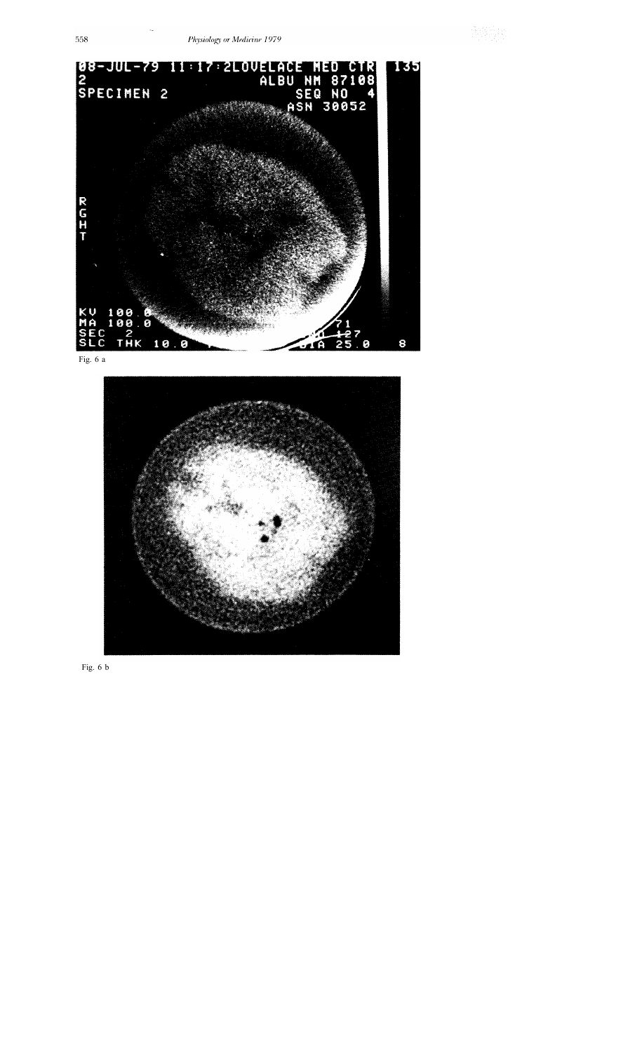

Fig. 6 a



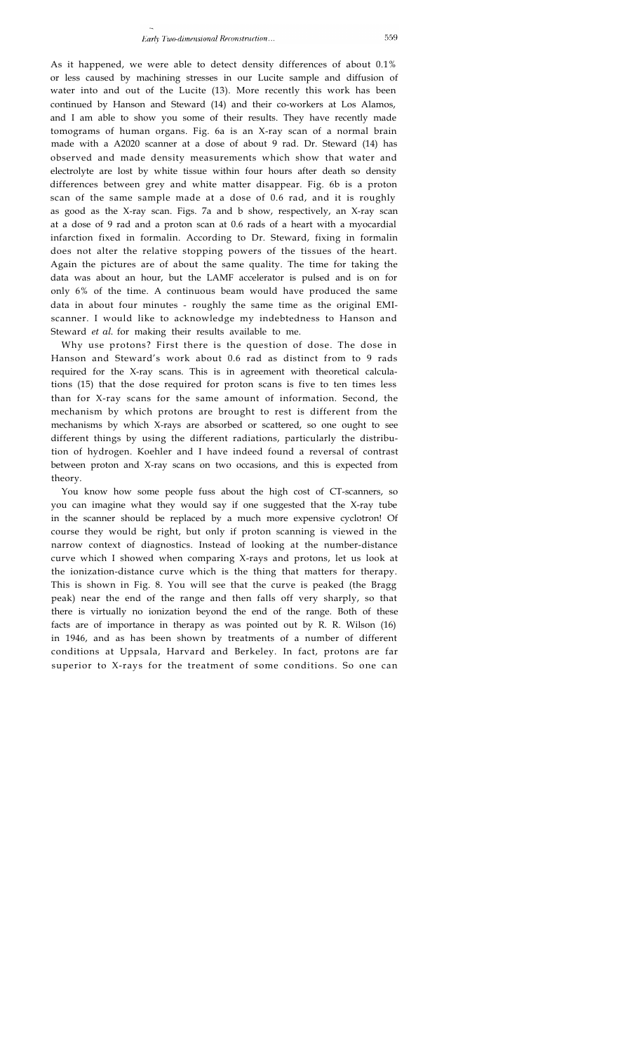As it happened, we were able to detect density differences of about 0.1% or less caused by machining stresses in our Lucite sample and diffusion of water into and out of the Lucite (13). More recently this work has been continued by Hanson and Steward (14) and their co-workers at Los Alamos, and I am able to show you some of their results. They have recently made tomograms of human organs. Fig. 6a is an X-ray scan of a normal brain made with a A2020 scanner at a dose of about 9 rad. Dr. Steward (14) has observed and made density measurements which show that water and electrolyte are lost by white tissue within four hours after death so density differences between grey and white matter disappear. Fig. 6b is a proton scan of the same sample made at a dose of 0.6 rad, and it is roughly as good as the X-ray scan. Figs. 7a and b show, respectively, an X-ray scan at a dose of 9 rad and a proton scan at 0.6 rads of a heart with a myocardial infarction fixed in formalin. According to Dr. Steward, fixing in formalin does not alter the relative stopping powers of the tissues of the heart. Again the pictures are of about the same quality. The time for taking the data was about an hour, but the LAMF accelerator is pulsed and is on for only 6% of the time. A continuous beam would have produced the same data in about four minutes - roughly the same time as the original EMIscanner. I would like to acknowledge my indebtedness to Hanson and Steward *et al.* for making their results available to me.

Why use protons? First there is the question of dose. The dose in Hanson and Steward's work about 0.6 rad as distinct from to 9 rads required for the X-ray scans. This is in agreement with theoretical calculations (15) that the dose required for proton scans is five to ten times less than for X-ray scans for the same amount of information. Second, the mechanism by which protons are brought to rest is different from the mechanisms by which X-rays are absorbed or scattered, so one ought to see different things by using the different radiations, particularly the distribution of hydrogen. Koehler and I have indeed found a reversal of contrast between proton and X-ray scans on two occasions, and this is expected from theory.

You know how some people fuss about the high cost of CT-scanners, so you can imagine what they would say if one suggested that the X-ray tube in the scanner should be replaced by a much more expensive cyclotron! Of course they would be right, but only if proton scanning is viewed in the narrow context of diagnostics. Instead of looking at the number-distance curve which I showed when comparing X-rays and protons, let us look at the ionization-distance curve which is the thing that matters for therapy. This is shown in Fig. 8. You will see that the curve is peaked (the Bragg peak) near the end of the range and then falls off very sharply, so that there is virtually no ionization beyond the end of the range. Both of these facts are of importance in therapy as was pointed out by R. R. Wilson (16) in 1946, and as has been shown by treatments of a number of different conditions at Uppsala, Harvard and Berkeley. In fact, protons are far superior to X-rays for the treatment of some conditions. So one can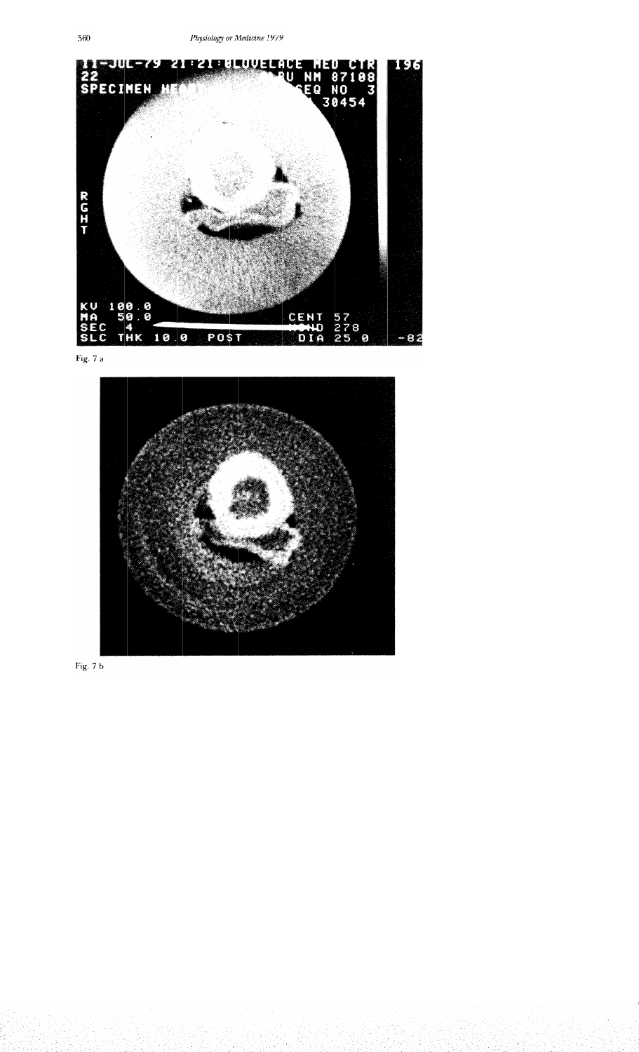

Fig. 7 a



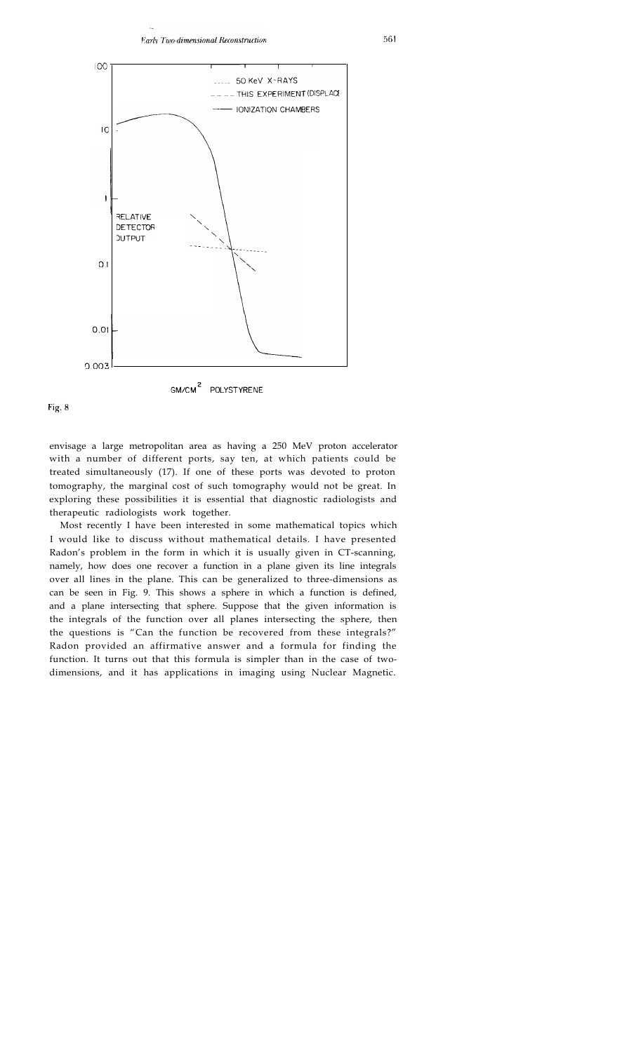

GM/CM<sup>2</sup> POLYSTYRENE

## Fig. 8

envisage a large metropolitan area as having a 250 MeV proton accelerator with a number of different ports, say ten, at which patients could be treated simultaneously (17). If one of these ports was devoted to proton tomography, the marginal cost of such tomography would not be great. In exploring these possibilities it is essential that diagnostic radiologists and therapeutic radiologists work together.

Most recently I have been interested in some mathematical topics which I would like to discuss without mathematical details. I have presented Radon's problem in the form in which it is usually given in CT-scanning, namely, how does one recover a function in a plane given its line integrals over all lines in the plane. This can be generalized to three-dimensions as can be seen in Fig. 9. This shows a sphere in which a function is defined, and a plane intersecting that sphere. Suppose that the given information is the integrals of the function over all planes intersecting the sphere, then the questions is "Can the function be recovered from these integrals?" Radon provided an affirmative answer and a formula for finding the function. It turns out that this formula is simpler than in the case of twodimensions, and it has applications in imaging using Nuclear Magnetic.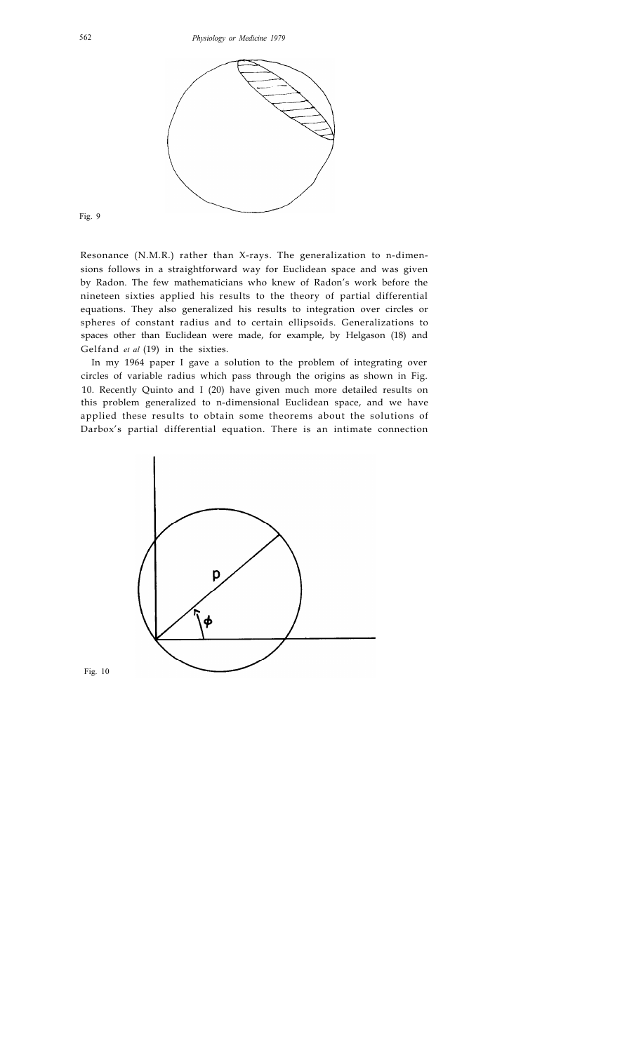



Resonance (N.M.R.) rather than X-rays. The generalization to n-dimensions follows in a straightforward way for Euclidean space and was given by Radon. The few mathematicians who knew of Radon's work before the nineteen sixties applied his results to the theory of partial differential equations. They also generalized his results to integration over circles or spheres of constant radius and to certain ellipsoids. Generalizations to spaces other than Euclidean were made, for example, by Helgason (18) and Gelfand *et al* (19) in the sixties.

In my 1964 paper I gave a solution to the problem of integrating over circles of variable radius which pass through the origins as shown in Fig. 10. Recently Quinto and I (20) have given much more detailed results on this problem generalized to n-dimensional Euclidean space, and we have applied these results to obtain some theorems about the solutions of Darbox's partial differential equation. There is an intimate connection